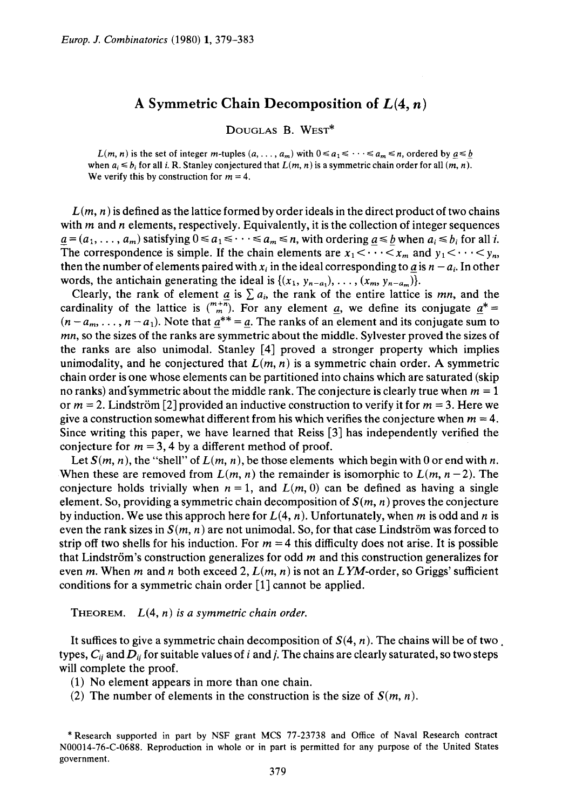## **A Symmetric Chain Decomposition of £(4,** *n)*

DouGLAS B. WEsT\*

*L(m, n)* is the set of integer *m*-tuples  $(a, \ldots, a_m)$  with  $0 \le a_1 \le \cdots \le a_m \le n$ , ordered by  $a \le b$ when  $a_i \leq b_i$  for all *i*. R. Stanley conjectured that  $L(m, n)$  is a symmetric chain order for all  $(m, n)$ . We verify this by construction for  $m = 4$ .

 $L(m, n)$  is defined as the lattice formed by order ideals in the direct product of two chains with *m* and *n* elements, respectively. Equivalently, it is the collection of integer sequences  $a = (a_1, \ldots, a_m)$  satisfying  $0 \le a_1 \le \cdots \le a_m \le n$ , with ordering  $a \le b$  when  $a_i \le b_i$  for all *i.* The correspondence is simple. If the chain elements are  $x_1 < \cdots < x_m$  and  $y_1 < \cdots < y_n$ , then the number of elements paired with  $x_i$  in the ideal corresponding to a is  $n - a_i$ . In other words, the antichain generating the ideal is  $\{(x_1, y_{n-a_1}), \ldots, (x_m, y_{n-a_m})\}.$ 

Clearly, the rank of element  $\underline{a}$  is  $\Sigma a_i$ , the rank of the entire lattice is *mn*, and the cardinality of the lattice is  $\binom{m+\overline{n}}{m}$ . For any element <u>*a*</u>, we define its conjugate  $\underline{a}^*$  =  $(n-a_m, \ldots, n-a_1)$ . Note that  $a^{**} = a$ . The ranks of an element and its conjugate sum to *mn,* so the sizes of the ranks are symmetric about the middle. Sylvester proved the sizes of the ranks are also unimodal. Stanley [ 4] proved a stronger property which implies unimodality, and he conjectured that  $L(m, n)$  is a symmetric chain order. A symmetric chain order is one whose elements can be partitioned into chains which are saturated (skip no ranks) and symmetric about the middle rank. The conjecture is clearly true when  $m = 1$ or  $m = 2$ . Lindström [2] provided an inductive construction to verify it for  $m = 3$ . Here we give a construction somewhat different from his which verifies the conjecture when  $m = 4$ . Since writing this paper, we have learned that Reiss [3] has independently verified the conjecture for  $m = 3$ , 4 by a different method of proof.

Let  $S(m, n)$ , the "shell" of  $L(m, n)$ , be those elements which begin with 0 or end with *n*. When these are removed from  $L(m, n)$  the remainder is isomorphic to  $L(m, n-2)$ . The conjecture holds trivially when  $n = 1$ , and  $L(m, 0)$  can be defined as having a single element. So, providing a symmetric chain decomposition of *S(m, n)* proves the conjecture by induction. We use this approch here for *L(4,* n). Unfortunately, when *m* is odd and *n* is even the rank sizes in  $S(m, n)$  are not unimodal. So, for that case Lindström was forced to strip off two shells for his induction. For  $m = 4$  this difficulty does not arise. It is possible that Lindström's construction generalizes for odd *m* and this construction generalizes for even *m.* When *m* and *n* both exceed 2, *L(m,* n) is not an *L* YM-order, so Griggs' sufficient conditions for a symmetric chain order [1] cannot be applied.

THEOREM. *L(4,* n) *is a symmetric chain order.* 

It suffices to give a symmetric chain decomposition of  $S(4, n)$ . The chains will be of two. types, C;i and *D;i* for suitable values of *i* and *j.* The chains are clearly saturated, so two steps will complete the proof.

(1) No element appears in more than one chain.

(2) The number of elements in the construction is the size of *S(m,* n).

<sup>\*</sup>Research supported in part by NSF grant MCS 77-23738 and Office of Naval Research contract N00014-76-C-0688. Reproduction in whole or in part is permitted for any purpose of the United States government.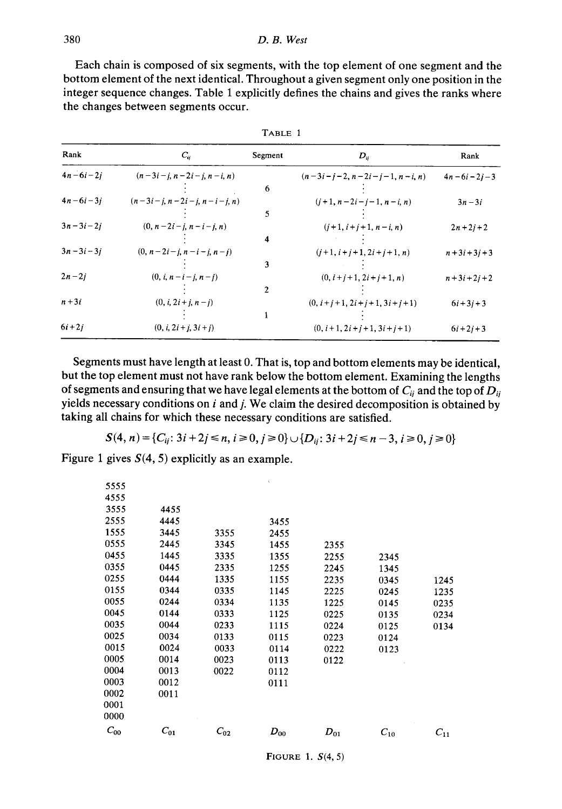Each chain is composed of six segments, with the top element of one segment and the bottom element of the next identical. Throughout a given segment only one position in the integer sequence changes. Table 1 explicitly defines the chains and gives the ranks where the changes between segments occur.

| Rank           | $C_{ii}$                     | Segment | $D_{ii}$                       | Rank               |
|----------------|------------------------------|---------|--------------------------------|--------------------|
| $4n - 6i - 2i$ | $(n-3i-i, n-2i-i, n-i, n)$   |         | $(n-3i-i-2, n-2i-i-1, n-i, n)$ | $4n - 6i - 2i - 3$ |
|                |                              | 6       |                                |                    |
| $4n - 6i - 3i$ | $(n-3i-j, n-2i-j, n-i-j, n)$ |         | $(i+1, n-2i-i-1, n-i, n)$      | $3n-3i$            |
|                |                              | 5       |                                |                    |
| $3n - 3i - 2i$ | $(0, n-2i-i, n-i-i, n)$      |         | $(j+1, i+j+1, n-i, n)$         | $2n + 2i + 2$      |
|                |                              | 4       |                                |                    |
| $3n - 3i - 3i$ | $(0, n-2i-i, n-i-i, n-i)$    |         | $(i+1, i+j+1, 2i+j+1, n)$      | $n+3i+3j+3$        |
|                |                              | 3       |                                |                    |
| $2n-2i$        | $(0, i, n-i-j, n-j)$         |         | $(0, i+j+1, 2i+j+1, n)$        | $n + 3i + 2j + 2$  |
|                |                              | 2       |                                |                    |
| $n+3i$         | $(0, i, 2i + j, n - j)$      |         | $(0, i+j+1, 2i+j+1, 3i+j+1)$   | $6i + 3i + 3$      |
|                |                              |         |                                |                    |
| $6i + 2j$      | $(0, i, 2i + i, 3i + j)$     |         | $(0, i+1, 2i+i+1, 3i+i+1)$     | $6i + 2j + 3$      |

| \RL<br>д<br>÷ |  |
|---------------|--|
|---------------|--|

Segments must have length at least 0. That is, top and bottom elements may be identical, but the top element must not have rank below the bottom element. Examining the lengths of segments and ensuring that we have legal elements at the bottom of  $C_{ij}$  and the top of  $D_{ij}$ <sup>y</sup>ields necessary conditions on *i* and *j.* We claim the desired decomposition is obtained by taking all chains for which these necessary conditions are satisfied.

$$
S(4, n) = \{C_{ij}: 3i + 2j \le n, i \ge 0, j \ge 0\} \cup \{D_{ij}: 3i + 2j \le n - 3, i \ge 0, j \ge 0\}
$$

Figure 1 gives  $S(4, 5)$  explicitly as an example.

| 5555     |          |          |          |          |          |          |
|----------|----------|----------|----------|----------|----------|----------|
| 4555     |          |          |          |          |          |          |
| 3555     | 4455     |          |          |          |          |          |
| 2555     | 4445     |          | 3455     |          |          |          |
| 1555     | 3445     | 3355     | 2455     |          |          |          |
| 0555     | 2445     | 3345     | 1455     | 2355     |          |          |
| 0455     | 1445     | 3335     | 1355     | 2255     | 2345     |          |
| 0355     | 0445     | 2335     | 1255     | 2245     | 1345     |          |
| 0255     | 0444     | 1335     | 1155     | 2235     | 0345     | 1245     |
| 0155     | 0344     | 0335     | 1145     | 2225     | 0245     | 1235     |
| 0055     | 0244     | 0334     | 1135     | 1225     | 0145     | 0235     |
| 0045     | 0144     | 0333     | 1125     | 0225     | 0135     | 0234     |
| 0035     | 0044     | 0233     | 1115     | 0224     | 0125     | 0134     |
| 0025     | 0034     | 0133     | 0115     | 0223     | 0124     |          |
| 0015     | 0024     | 0033     | 0114     | 0222     | 0123     |          |
| 0005     | 0014     | 0023     | 0113     | 0122     |          |          |
| 0004     | 0013     | 0022     | 0112     |          |          |          |
| 0003     | 0012     |          | 0111     |          |          |          |
| 0002     | 0011     |          |          |          |          |          |
| 0001     |          |          |          |          |          |          |
| 0000     |          |          |          |          |          |          |
| $C_{00}$ | $C_{01}$ | $C_{02}$ | $D_{00}$ | $D_{01}$ | $C_{10}$ | $C_{11}$ |
|          |          |          |          |          |          |          |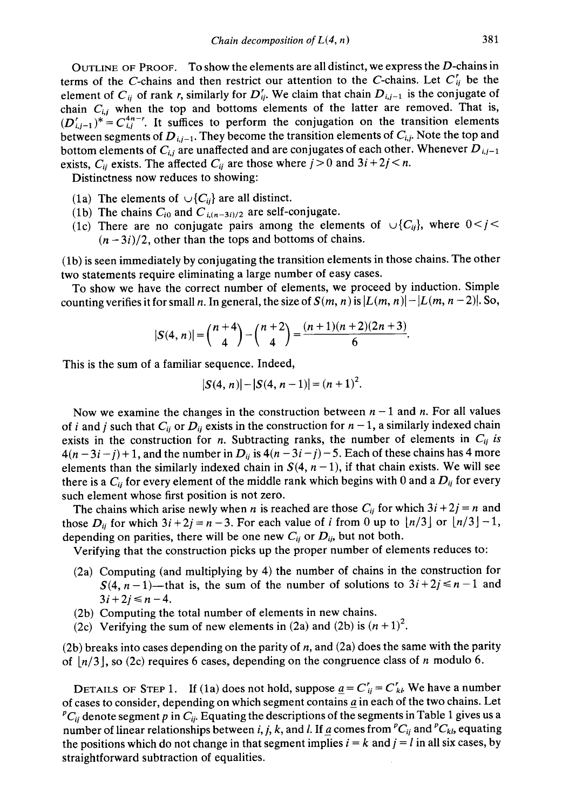OUTLINE OF PROOF. To show the elements are all distinct, we express the  $D$ -chains in terms of the C-chains and then restrict our attention to the C-chains. Let  $C_{ij}$  be the element of  $C_{ij}$  of rank *r*, similarly for  $D_{ij}^r$ . We claim that chain  $D_{i,j-1}$  is the conjugate of chain  $C_{i,j}$  when the top and bottoms elements of the latter are removed. That is,  $(D<sub>i,j-1</sub><sup>*</sup>)<sup>*</sup> = C<sub>i,j</sub><sup>4n-r</sup>$ . It suffices to perform the conjugation on the transition elements between segments of  $D_{i,j-1}$ . They become the transition elements of  $C_{i,j}$ . Note the top and bottom elements of  $C_{i,j}$  are unaffected and are conjugates of each other. Whenever  $D_{i,j-1}$ exists,  $C_{ij}$  exists. The affected  $C_{ij}$  are those where  $j > 0$  and  $3i + 2j < n$ .

Distinctness now reduces to showing:

- (1a) The elements of  $\cup \{C_{ii}\}\$ are all distinct.
- (1b) The chains  $C_{i0}$  and  $C_{i,(n-3i)/2}$  are self-conjugate.
- (1c) There are no conjugate pairs among the elements of  $\bigcup \{C_{ij}\}\$ , where  $0 < j <$  $(n-3i)/2$ , other than the tops and bottoms of chains.

(lb) is seen immediately by conjugating the transition elements in those chains. The other two statements require eliminating a large number of easy cases.

To show we have the correct number of elements, we proceed by induction. Simple counting verifies it for small *n*. In general, the size of  $S(m, n)$  is  $|L(m, n)| - |L(m, n-2)|$ . So,

$$
|S(4, n)| = {n+4 \choose 4} - {n+2 \choose 4} = \frac{(n+1)(n+2)(2n+3)}{6}.
$$

This is the sum of a familiar sequence. Indeed,

$$
|S(4, n)| - |S(4, n-1)| = (n+1)^2.
$$

Now we examine the changes in the construction between  $n-1$  and  $n$ . For all values of *i* and *j* such that  $C_{ij}$  or  $D_{ij}$  exists in the construction for  $n-1$ , a similarly indexed chain exists in the construction for *n*. Subtracting ranks, the number of elements in  $C_{ij}$  *is*  $4(n-3i-j)+1$ , and the number in  $D_{ij}$  is  $4(n-3i-j)-5$ . Each of these chains has 4 more elements than the similarly indexed chain in  $S(4, n-1)$ , if that chain exists. We will see there is a  $C_{ii}$  for every element of the middle rank which begins with 0 and a  $D_{ij}$  for every such element whose first position is not zero.

The chains which arise newly when *n* is reached are those  $C_{ij}$  for which  $3i + 2j = n$  and those  $D_{ij}$  for which  $3i + 2j = n - 3$ . For each value of *i* from 0 up to  $\lfloor n/3 \rfloor$  or  $\lfloor n/3 \rfloor - 1$ , depending on parities, there will be one new  $C_{ij}$  or  $D_{ij}$ , but not both.

Verifying that the construction picks up the proper number of elements reduces to:

- (2a) Computing (and multiplying by 4) the number of chains in the construction for  $S(4, n-1)$ —that is, the sum of the number of solutions to  $3i + 2j \le n-1$  and  $3i + 2j \leq n - 4$ .
- (2b) Computing the total number of elements in new chains.
- (2c) Verifying the sum of new elements in (2a) and (2b) is  $(n + 1)^2$ .

(2b) breaks into cases depending on the parity of *n,* and (2a) does the same with the parity of  $\lfloor n/3 \rfloor$ , so (2c) requires 6 cases, depending on the congruence class of *n* modulo 6.

DETAILS OF STEP 1. If (1a) does not hold, suppose  $\underline{a} = C'_{ij} = C'_{kk}$ . We have a number of cases to consider, depending on which segment contains *Q* in each of the two chains. Let  ${}^pC_{ij}$  denote segment p in  $C_{ij}$ . Equating the descriptions of the segments in Table 1 gives us a number of linear relationships between *i, j, k,* and *l.* If a comes from  ${}^pC_{ij}$  and  ${}^pC_{kl}$ , equating the positions which do not change in that segment implies  $i = k$  and  $j = l$  in all six cases, by straightforward subtraction of equalities.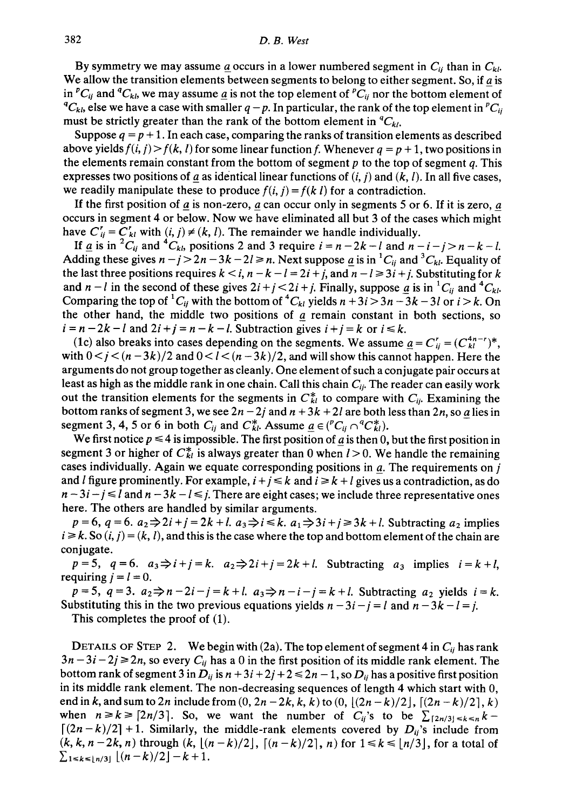## 382 *D. B. West*

By symmetry we may assume  $\underline{a}$  occurs in a lower numbered segment in  $C_{ij}$  than in  $C_{kl}$ . We allow the transition elements between segments to belong to either segment. So, if  $a$  is in <sup>p</sup>C<sub>ij</sub> and <sup>q</sup>C<sub>k</sub>*l*, we may assume <u>a</u> is not the top element of <sup>p</sup>C<sub>ij</sub> nor the bottom element of  ${}^qC_{kk}$ , else we have a case with smaller  $q-p$ . In particular, the rank of the top element in  ${}^pC_{ii}$ must be strictly greater than the rank of the bottom element in  ${}^4C_{kl}$ *.* 

Suppose  $q = p + 1$ . In each case, comparing the ranks of transition elements as described above yields  $f(i, j) > f(k, l)$  for some linear function f. Whenever  $q = p + 1$ , two positions in the elements remain constant from the bottom of segment *p* to the top of segment *q.* This expresses two positions of *a* as identical linear functions of  $(i, j)$  and  $(k, l)$ . In all five cases, we readily manipulate these to produce  $f(i, j) = f(k \, l)$  for a contradiction.

If the first position of *a* is non-zero, *a* can occur only in segments 5 or 6. If it is zero, *a* occurs in segment 4 or below. Now we have eliminated all but 3 of the cases which might have  $C'_{ij} = C'_{kl}$  with  $(i, j) \neq (k, l)$ . The remainder we handle individually.

If <u>a</u> is in <sup>2</sup>*C<sub>ij</sub>* and <sup>4</sup>*C<sub>kl</sub>*, positions 2 and 3 require  $i = n - 2k - l$  and  $n - i - j > n - k - l$ . Adding these gives  $n - j > 2n - 3k - 2l \ge n$ . Next suppose  $q$  is in  ${}^{1}C_{ij}$  and  ${}^{3}C_{kl}$ . Equality of the last three positions requires  $k < i$ ,  $n - k - l = 2i + j$ , and  $n - l \ge 3i + j$ . Substituting for k and  $n - l$  in the second of these gives  $2i + j < 2i + j$ . Finally, suppose <u>a</u> is in <sup>1</sup>C<sub>ij</sub> and <sup>4</sup>C<sub>kl</sub>. Comparing the top of <sup>1</sup>C<sub>ij</sub> with the bottom of <sup>4</sup>C<sub>kl</sub> yields  $n + 3i > 3n - 3k - 3l$  or  $i > k$ . On the other hand, the middle two positions of  $q$  remain constant in both sections, so  $i = n - 2k - l$  and  $2i + j = n - k - l$ . Subtraction gives  $i + j = k$  or  $i \leq k$ .

(1c) also breaks into cases depending on the segments. We assume  $a = C_{ii}^r = (C_{ki}^{4n-r})^*$ , with  $0 \lt j \lt (n-3k)/2$  and  $0 \lt l \lt (n-3k)/2$ , and will show this cannot happen. Here the arguments do not group together as cleanly. One element of such a conjugate pair occurs at least as high as the middle rank in one chain. Call this chain  $C_{ii}$ . The reader can easily work out the transition elements for the segments in  $C_{kl}^*$  to compare with  $C_{ij}$ . Examining the bottom ranks of segment 3, we see  $2n - 2j$  and  $n + 3k + 2l$  are both less than  $2n$ , so *a* lies in segment 3, 4, 5 or 6 in both  $C_{ii}$  and  $C_{ki}^*$ . Assume  $a \in ({}^pC_{ii} \cap {}^qC_{ki}^*)$ .

We first notice  $p \le 4$  is impossible. The first position of <u>a</u> is then 0, but the first position in segment 3 or higher of  $C_{kl}^*$  is always greater than 0 when  $l > 0$ . We handle the remaining cases individually. Again we equate corresponding positions in *a*. The requirements on *j* and *l* figure prominently. For example,  $i + j \leq k$  and  $i \geq k + l$  gives us a contradiction, as do  $n-3i-j \leq l$  and  $n-3k-l \leq j$ . There are eight cases; we include three representative ones here. The others are handled by similar arguments.

 $p=6$ ,  $q=6$ .  $a_2\Rightarrow 2i+j=2k+l$ .  $a_3\Rightarrow i\leq k$ .  $a_1\Rightarrow 3i+j\geq 3k+l$ . Subtracting  $a_2$  implies  $i \ge k$ . So  $(i, j) = (k, l)$ , and this is the case where the top and bottom element of the chain are conjugate.

 $p = 5$ ,  $q = 6$ .  $a_3 \Rightarrow i + j = k$ .  $a_2 \Rightarrow 2i + j = 2k + l$ . Subtracting  $a_3$  implies  $i = k + l$ , requiring  $i = l = 0$ .

 $p=5$ ,  $q=3$ .  $a_2 \Rightarrow n-2i-j=k+l$ .  $a_3 \Rightarrow n-i-j=k+l$ . Subtracting  $a_2$  yields  $i=k$ . Substituting this in the two previous equations yields  $n-3i-j=l$  and  $n-3k-l=i$ .

This completes the proof of (1).

DETAILS OF STEP 2. We begin with (2a). The top element of segment 4 in  $C_{ij}$  has rank  $3n-3i-2j \ge 2n$ , so every  $C_{ij}$  has a 0 in the first position of its middle rank element. The bottom rank of segment 3 in  $D_{ij}$  is  $n + 3i + 2j + 2 \le 2n - 1$ , so  $D_{ij}$  has a positive first position in its middle rank element. The non-decreasing sequences of length 4 which start with 0, end in k, and sum to 2n include from  $(0, 2n-2k, k, k)$  to  $(0, \lfloor (2n-k)/2 \rfloor, \lceil (2n-k)/2 \rceil, k)$ when  $n \ge k \ge [2n/3]$ . So, we want the number of  $C_{ij}$ 's to be  $\sum_{z} |z_{n/3}| \le k \le n$  $\lceil (2n-k)/2 \rceil +1$ . Similarly, the middle-rank elements covered by  $D_{ii}$ 's include from  $(k, k, n-2k, n)$  through  $(k, \lfloor (n-k)/2 \rfloor, \lfloor (n-k)/2 \rfloor, n)$  for  $1 \le k \le \lfloor n/3 \rfloor$ , for a total of  $\sum_{1 \le k \le \lfloor n/3 \rfloor} \lfloor (n-k)/2 \rfloor - k + 1.$